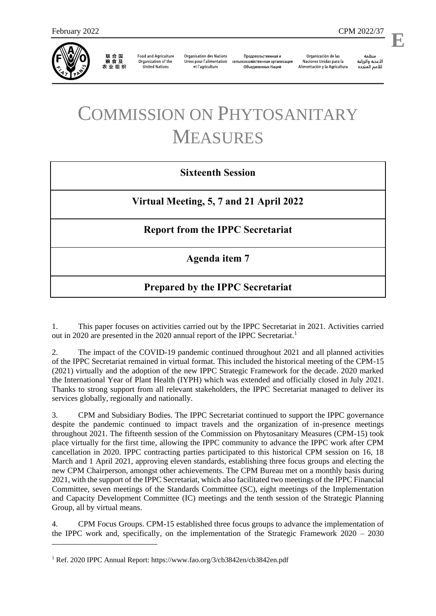

1

联合国<br>粮食及 农业组织

**Food and Agriculture** Organization of the **United Nations** 

**Organisation des Nations** Unies pour l'alimentation et l'agriculture

Продовольственная и сельскохозяйственная организация Объелиненных Наций

Organización de las Naciones Unidas para la Alimentación y la Agricultura

منظمة الأغذية والزراعة للأمم المتحدة

l,

## COMMISSION ON PHYTOSANITARY MEASURES

## **Sixteenth Session**

**Virtual Meeting, 5, 7 and 21 April 2022**

## **Report from the IPPC Secretariat**

**Agenda item 7**

## **Prepared by the IPPC Secretariat**

1. This paper focuses on activities carried out by the IPPC Secretariat in 2021. Activities carried out in 2020 are presented in the 2020 annual report of the IPPC Secretariat.<sup>1</sup>

2. The impact of the COVID-19 pandemic continued throughout 2021 and all planned activities of the IPPC Secretariat remained in virtual format. This included the historical meeting of the CPM-15 (2021) virtually and the adoption of the new IPPC Strategic Framework for the decade. 2020 marked the International Year of Plant Health (IYPH) which was extended and officially closed in July 2021. Thanks to strong support from all relevant stakeholders, the IPPC Secretariat managed to deliver its services globally, regionally and nationally.

3. CPM and Subsidiary Bodies. The IPPC Secretariat continued to support the IPPC governance despite the pandemic continued to impact travels and the organization of in-presence meetings throughout 2021. The fifteenth session of the Commission on Phytosanitary Measures (CPM-15) took place virtually for the first time, allowing the IPPC community to advance the IPPC work after CPM cancellation in 2020. IPPC contracting parties participated to this historical CPM session on 16, 18 March and 1 April 2021, approving eleven standards, establishing three focus groups and electing the new CPM Chairperson, amongst other achievements. The CPM Bureau met on a monthly basis during 2021, with the support of the IPPC Secretariat, which also facilitated two meetings of the IPPC Financial Committee, seven meetings of the Standards Committee (SC), eight meetings of the Implementation and Capacity Development Committee (IC) meetings and the tenth session of the Strategic Planning Group, all by virtual means.

4. CPM Focus Groups. CPM-15 established three focus groups to advance the implementation of the IPPC work and, specifically, on the implementation of the Strategic Framework 2020 – 2030

<sup>1</sup> Ref. 2020 IPPC Annual Report[: https://www.fao.org/3/cb3842en/cb3842en.pdf](https://www.fao.org/3/cb3842en/cb3842en.pdf)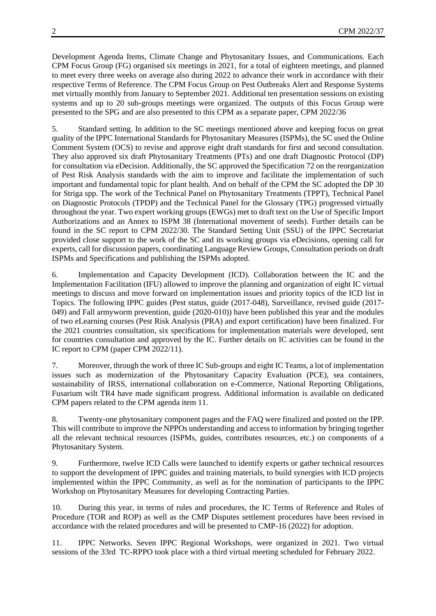Development Agenda Items, Climate Change and Phytosanitary Issues, and Communications. Each CPM Focus Group (FG) organised six meetings in 2021, for a total of eighteen meetings, and planned to meet every three weeks on average also during 2022 to advance their work in accordance with their respective Terms of Reference. The CPM Focus Group on Pest Outbreaks Alert and Response Systems met virtually monthly from January to September 2021. Additional ten presentation sessions on existing systems and up to 20 sub-groups meetings were organized. The outputs of this Focus Group were presented to the SPG and are also presented to this CPM as a separate paper, CPM 2022/36

5. Standard setting. In addition to the SC meetings mentioned above and keeping focus on great quality of the IPPC International Standards for Phytosanitary Measures (ISPMs), the SC used the Online Comment System (OCS) to revise and approve eight draft standards for first and second consultation. They also approved six draft Phytosanitary Treatments (PTs) and one draft Diagnostic Protocol (DP) for consultation via eDecision. Additionally, the SC approved the Specification 72 on the reorganization of Pest Risk Analysis standards with the aim to improve and facilitate the implementation of such important and fundamental topic for plant health. And on behalf of the CPM the SC adopted the DP 30 for Striga spp. The work of the Technical Panel on Phytosanitary Treatments (TPPT), Technical Panel on Diagnostic Protocols (TPDP) and the Technical Panel for the Glossary (TPG) progressed virtually throughout the year. Two expert working groups (EWGs) met to draft text on the Use of Specific Import Authorizations and an Annex to ISPM 38 (International movement of seeds). Further details can be found in the SC report to CPM 2022/30. The Standard Setting Unit (SSU) of the IPPC Secretariat provided close support to the work of the SC and its working groups via eDecisions, opening call for experts, call for discussion papers, coordinating Language Review Groups, Consultation periods on draft ISPMs and Specifications and publishing the ISPMs adopted.

6. Implementation and Capacity Development (ICD). Collaboration between the IC and the Implementation Facilitation (IFU) allowed to improve the planning and organization of eight IC virtual meetings to discuss and move forward on implementation issues and priority topics of the ICD list in Topics. The following IPPC guides (Pest status, guide (2017-048), Surveillance, revised guide (2017- 049) and Fall armyworm prevention, guide (2020-010)) have been published this year and the modules of two eLearning courses (Pest Risk Analysis (PRA) and export certification) have been finalized. For the 2021 countries consultation, six specifications for implementation materials were developed, sent for countries consultation and approved by the IC. Further details on IC activities can be found in the IC report to CPM (paper CPM 2022/11).

7. Moreover, through the work of three IC Sub-groups and eight IC Teams, a lot of implementation issues such as modernization of the Phytosanitary Capacity Evaluation (PCE), sea containers, sustainability of IRSS, international collaboration on e-Commerce, National Reporting Obligations, Fusarium wilt TR4 have made significant progress. Additional information is available on dedicated CPM papers related to the CPM agenda item 11.

8. Twenty-one phytosanitary component pages and the FAQ were finalized and posted on the IPP. This will contribute to improve the NPPOs understanding and access to information by bringing together all the relevant technical resources (ISPMs, guides, contributes resources, etc.) on components of a Phytosanitary System.

9. Furthermore, twelve ICD Calls were launched to identify experts or gather technical resources to support the development of IPPC guides and training materials, to build synergies with ICD projects implemented within the IPPC Community, as well as for the nomination of participants to the IPPC Workshop on Phytosanitary Measures for developing Contracting Parties.

10. During this year, in terms of rules and procedures, the IC Terms of Reference and Rules of Procedure (TOR and ROP) as well as the CMP Disputes settlement procedures have been revised in accordance with the related procedures and will be presented to CMP-16 (2022) for adoption.

11. IPPC Networks. Seven IPPC Regional Workshops, were organized in 2021. Two virtual sessions of the 33rd TC-RPPO took place with a third virtual meeting scheduled for February 2022.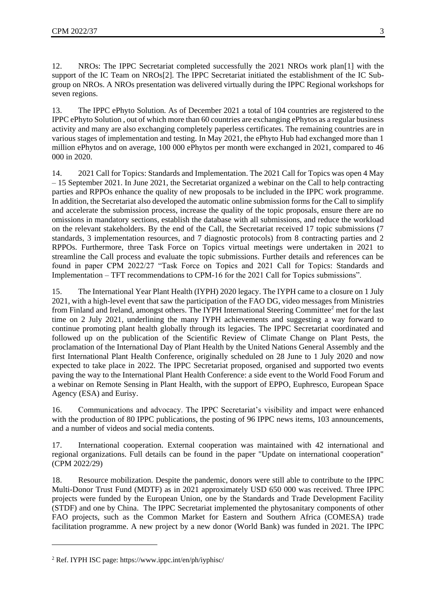12. NROs: The IPPC Secretariat completed successfully the 2021 NROs work pla[n\[1\]](https://euc-word-edit.officeapps.live.com/we/wordeditorframe.aspx?ui=en%2DUS&rs=en%2DUS&actnavid=eyJjIjoxMTc4NzE2NDM4fQ&wopisrc=https%3A%2F%2Funfao.sharepoint.com%2Fsites%2FIPPC%2F_vti_bin%2Fwopi.ashx%2Ffiles%2F1c188838fa314bcb91c5b290d99eb7b1&wdenableroaming=1&mscc=1&hid=9E6815A0-E01A-3000-726C-4B0F4C708FC2&wdorigin=Other&jsapi=1&jsapiver=v1&newsession=1&corrid=fd12ba36-ae3d-1605-1a7d-b2ec8d451f2a&usid=fd12ba36-ae3d-1605-1a7d-b2ec8d451f2a&sftc=1&mtf=1&sfp=1&instantedit=1&wopicomplete=1&wdredirectionreason=Unified_SingleFlush&preseededsessionkey=69178164-5fdb-ee4b-0bca-a927ad287ca4&preseededwacsessionid=fd12ba36-ae3d-1605-1a7d-b2ec8d451f2a&rct=Medium&ctp=LeastProtected#_ftn1) with the support of the IC Team on NRO[s\[2\].](https://euc-word-edit.officeapps.live.com/we/wordeditorframe.aspx?ui=en%2DUS&rs=en%2DUS&actnavid=eyJjIjoxMTc4NzE2NDM4fQ&wopisrc=https%3A%2F%2Funfao.sharepoint.com%2Fsites%2FIPPC%2F_vti_bin%2Fwopi.ashx%2Ffiles%2F1c188838fa314bcb91c5b290d99eb7b1&wdenableroaming=1&mscc=1&hid=9E6815A0-E01A-3000-726C-4B0F4C708FC2&wdorigin=Other&jsapi=1&jsapiver=v1&newsession=1&corrid=fd12ba36-ae3d-1605-1a7d-b2ec8d451f2a&usid=fd12ba36-ae3d-1605-1a7d-b2ec8d451f2a&sftc=1&mtf=1&sfp=1&instantedit=1&wopicomplete=1&wdredirectionreason=Unified_SingleFlush&preseededsessionkey=69178164-5fdb-ee4b-0bca-a927ad287ca4&preseededwacsessionid=fd12ba36-ae3d-1605-1a7d-b2ec8d451f2a&rct=Medium&ctp=LeastProtected#_ftn2) The IPPC Secretariat initiated the establishment of the IC Subgroup on NROs. A NROs presentation was delivered virtually during the IPPC Regional workshops for seven regions.

13. The IPPC ePhyto Solution. As of December 2021 a total of 104 countries are registered to the IPPC ePhyto Solution , out of which more than 60 countries are exchanging ePhytos as a regular business activity and many are also exchanging completely paperless certificates. The remaining countries are in various stages of implementation and testing. In May 2021, the ePhyto Hub had exchanged more than 1 million ePhytos and on average, 100 000 ePhytos per month were exchanged in 2021, compared to 46 000 in 2020.

14. 2021 Call for Topics: Standards and Implementation. The 2021 Call for Topics was open 4 May – 15 September 2021. In June 2021, the Secretariat organized a webinar on the Call to help contracting parties and RPPOs enhance the quality of new proposals to be included in the IPPC work programme. In addition, the Secretariat also developed the automatic online submission forms for the Call to simplify and accelerate the submission process, increase the quality of the topic proposals, ensure there are no omissions in mandatory sections, establish the database with all submissions, and reduce the workload on the relevant stakeholders. By the end of the Call, the Secretariat received 17 topic submissions (7 standards, 3 implementation resources, and 7 diagnostic protocols) from 8 contracting parties and 2 RPPOs. Furthermore, three Task Force on Topics virtual meetings were undertaken in 2021 to streamline the Call process and evaluate the topic submissions. Further details and references can be found in paper CPM 2022/27 "Task Force on Topics and 2021 Call for Topics: Standards and Implementation – TFT recommendations to CPM-16 for the 2021 Call for Topics submissions".

15. The International Year Plant Health (IYPH) 2020 legacy. The IYPH came to a closure on 1 July 2021, with a high-level event that saw the participation of the FAO DG, video messages from Ministries from Finland and Ireland, amongst others. The IYPH International Steering Committee<sup>2</sup> met for the last time on 2 July 2021, underlining the many IYPH achievements and suggesting a way forward to continue promoting plant health globally through its legacies. The IPPC Secretariat coordinated and followed up on the publication of the Scientific Review of Climate Change on Plant Pests, the proclamation of the International Day of Plant Health by the United Nations General Assembly and the first International Plant Health Conference, originally scheduled on 28 June to 1 July 2020 and now expected to take place in 2022. The IPPC Secretariat proposed, organised and supported two events paving the way to the International Plant Health Conference: a side event to the World Food Forum and a webinar on Remote Sensing in Plant Health, with the support of EPPO, Euphresco, European Space Agency (ESA) and Eurisy.

16. Communications and advocacy. The IPPC Secretariat's visibility and impact were enhanced with the production of 80 IPPC publications, the posting of 96 IPPC news items, 103 announcements, and a number of videos and social media contents.

17. International cooperation. External cooperation was maintained with 42 international and regional organizations. Full details can be found in the paper "Update on international cooperation" (CPM 2022/29)

18. Resource mobilization. Despite the pandemic, donors were still able to contribute to the IPPC Multi-Donor Trust Fund (MDTF) as in 2021 approximately USD 650 000 was received. Three IPPC projects were funded by the European Union, one by the Standards and Trade Development Facility (STDF) and one by China. The IPPC Secretariat implemented the phytosanitary components of other FAO projects, such as the Common Market for Eastern and Southern Africa (COMESA) trade facilitation programme. A new project by a new donor (World Bank) was funded in 2021. The IPPC

1

<sup>2</sup> Ref. IYPH ISC page:<https://www.ippc.int/en/ph/iyphisc/>